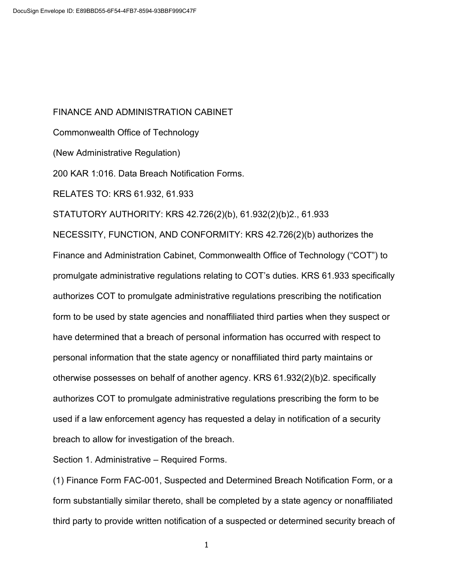FINANCE AND ADMINISTRATION CABINET Commonwealth Office of Technology (New Administrative Regulation) 200 KAR 1:016. Data Breach Notification Forms. RELATES TO: KRS 61.932, 61.933 STATUTORY AUTHORITY: KRS 42.726(2)(b), 61.932(2)(b)2., 61.933 NECESSITY, FUNCTION, AND CONFORMITY: KRS 42.726(2)(b) authorizes the Finance and Administration Cabinet, Commonwealth Office of Technology ("COT") to promulgate administrative regulations relating to COT's duties. KRS 61.933 specifically authorizes COT to promulgate administrative regulations prescribing the notification form to be used by state agencies and nonaffiliated third parties when they suspect or have determined that a breach of personal information has occurred with respect to personal information that the state agency or nonaffiliated third party maintains or otherwise possesses on behalf of another agency. KRS 61.932(2)(b)2. specifically authorizes COT to promulgate administrative regulations prescribing the form to be used if a law enforcement agency has requested a delay in notification of a security breach to allow for investigation of the breach.

Section 1. Administrative – Required Forms.

 (1) Finance Form FAC-001, Suspected and Determined Breach Notification Form, or a form substantially similar thereto, shall be completed by a state agency or nonaffiliated third party to provide written notification of a suspected or determined security breach of

1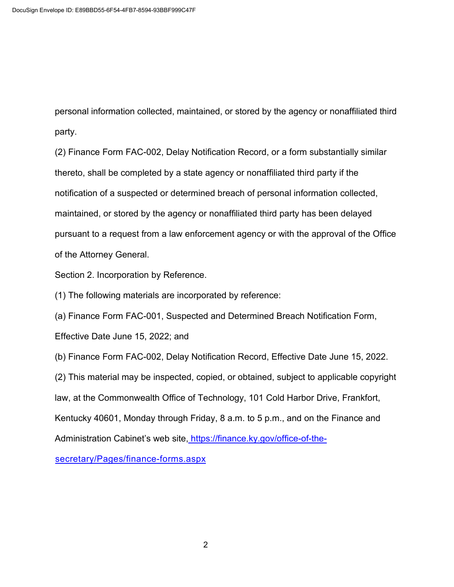personal information collected, maintained, or stored by the agency or nonaffiliated third party.

 (2) Finance Form FAC-002, Delay Notification Record, or a form substantially similar thereto, shall be completed by a state agency or nonaffiliated third party if the notification of a suspected or determined breach of personal information collected, maintained, or stored by the agency or nonaffiliated third party has been delayed pursuant to a request from a law enforcement agency or with the approval of the Office of the Attorney General.

Section 2. Incorporation by Reference.

(1) The following materials are incorporated by reference:

(a) Finance Form FAC-001, Suspected and Determined Breach Notification Form,

Effective Date June 15, 2022; and

(b) Finance Form FAC-002, Delay Notification Record, Effective Date June 15, 2022.

(2) This material may be inspected, copied, or obtained, subject to applicable copyright

law, at the Commonwealth Office of Technology, 101 Cold Harbor Drive, Frankfort,

Kentucky 40601, Monday through Friday, 8 a.m. to 5 p.m., and on the Finance and

Administration Cabinet's web site[, https://finance.ky.gov/office-of-the-](https://finance.ky.gov/office-of-the-secretary/Pages/finance-forms.aspx)

[secretary/Pages/finance-forms.aspx](https://finance.ky.gov/office-of-the-secretary/Pages/finance-forms.aspx)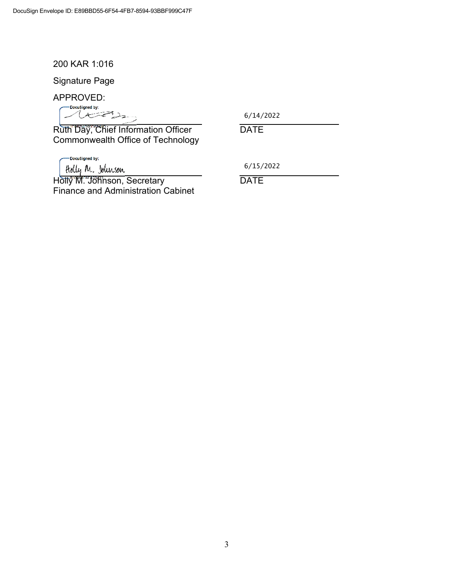200 KAR 1:016

Signature Page

APPROVED:

DocuSigned by: usigned by:<br> $(1, 1)$ 

6/14/2022

Ruth Day, Chief Information Officer DATE Commonwealth Office of Technology

-DocuSigned by:

6/15/2022

Holly M. Johnson, Secretary 6/15/2<br>Holly M. Johnson, Secretary DATE Finance and Administration Cabinet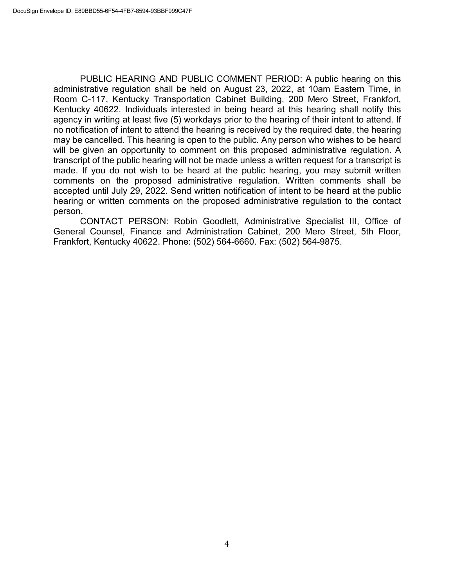PUBLIC HEARING AND PUBLIC COMMENT PERIOD: A public hearing on this administrative regulation shall be held on August 23, 2022, at 10am Eastern Time, in Room C-117, Kentucky Transportation Cabinet Building, 200 Mero Street, Frankfort, Kentucky 40622. Individuals interested in being heard at this hearing shall notify this agency in writing at least five (5) workdays prior to the hearing of their intent to attend. If no notification of intent to attend the hearing is received by the required date, the hearing may be cancelled. This hearing is open to the public. Any person who wishes to be heard will be given an opportunity to comment on this proposed administrative regulation. A transcript of the public hearing will not be made unless a written request for a transcript is made. If you do not wish to be heard at the public hearing, you may submit written comments on the proposed administrative regulation. Written comments shall be accepted until July 29, 2022. Send written notification of intent to be heard at the public hearing or written comments on the proposed administrative regulation to the contact person.

CONTACT PERSON: Robin Goodlett, Administrative Specialist III, Office of General Counsel, Finance and Administration Cabinet, 200 Mero Street, 5th Floor, Frankfort, Kentucky 40622. Phone: (502) 564-6660. Fax: (502) 564-9875.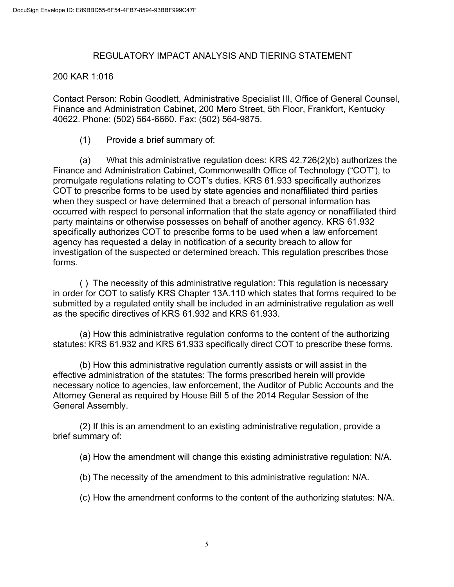### REGULATORY IMPACT ANALYSIS AND TIERING STATEMENT

### 200 KAR 1:016

Contact Person: Robin Goodlett, Administrative Specialist III, Office of General Counsel, Finance and Administration Cabinet, 200 Mero Street, 5th Floor, Frankfort, Kentucky 40622. Phone: (502) 564-6660. Fax: (502) 564-9875.

(1) Provide a brief summary of:

(a) What this administrative regulation does: KRS 42.726(2)(b) authorizes the Finance and Administration Cabinet, Commonwealth Office of Technology ("COT"), to promulgate regulations relating to COT's duties. KRS 61.933 specifically authorizes COT to prescribe forms to be used by state agencies and nonaffiliated third parties when they suspect or have determined that a breach of personal information has occurred with respect to personal information that the state agency or nonaffiliated third party maintains or otherwise possesses on behalf of another agency. KRS 61.932 specifically authorizes COT to prescribe forms to be used when a law enforcement agency has requested a delay in notification of a security breach to allow for investigation of the suspected or determined breach. This regulation prescribes those forms.

( ) The necessity of this administrative regulation: This regulation is necessary in order for COT to satisfy KRS Chapter 13A.110 which states that forms required to be submitted by a regulated entity shall be included in an administrative regulation as well as the specific directives of KRS 61.932 and KRS 61.933.

(a) How this administrative regulation conforms to the content of the authorizing statutes: KRS 61.932 and KRS 61.933 specifically direct COT to prescribe these forms.

(b) How this administrative regulation currently assists or will assist in the effective administration of the statutes: The forms prescribed herein will provide necessary notice to agencies, law enforcement, the Auditor of Public Accounts and the Attorney General as required by House Bill 5 of the 2014 Regular Session of the General Assembly.

(2) If this is an amendment to an existing administrative regulation, provide a brief summary of:

(a) How the amendment will change this existing administrative regulation: N/A.

(b) The necessity of the amendment to this administrative regulation: N/A.

(c) How the amendment conforms to the content of the authorizing statutes: N/A.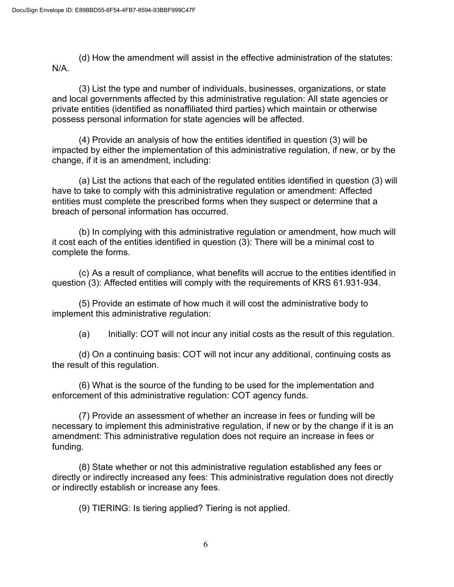(d) How the amendment will assist in the effective administration of the statutes: N/A.

(3) List the type and number of individuals, businesses, organizations, or state and local governments affected by this administrative regulation: All state agencies or private entities (identified as nonaffiliated third parties) which maintain or otherwise possess personal information for state agencies will be affected.

(4) Provide an analysis of how the entities identified in question (3) will be impacted by either the implementation of this administrative regulation, if new, or by the change, if it is an amendment, including:

(a) List the actions that each of the regulated entities identified in question (3) will have to take to comply with this administrative regulation or amendment: Affected entities must complete the prescribed forms when they suspect or determine that a breach of personal information has occurred.

(b) In complying with this administrative regulation or amendment, how much will it cost each of the entities identified in question (3): There will be a minimal cost to complete the forms.

(c) As a result of compliance, what benefits will accrue to the entities identified in question (3): Affected entities will comply with the requirements of KRS 61.931-934.

(5) Provide an estimate of how much it will cost the administrative body to implement this administrative regulation:

(a) Initially: COT will not incur any initial costs as the result of this regulation.

(d) On a continuing basis: COT will not incur any additional, continuing costs as the result of this regulation.

(6) What is the source of the funding to be used for the implementation and enforcement of this administrative regulation: COT agency funds.

(7) Provide an assessment of whether an increase in fees or funding will be necessary to implement this administrative regulation, if new or by the change if it is an amendment: This administrative regulation does not require an increase in fees or funding.

(8) State whether or not this administrative regulation established any fees or directly or indirectly increased any fees: This administrative regulation does not directly or indirectly establish or increase any fees.

(9) TIERING: Is tiering applied? Tiering is not applied.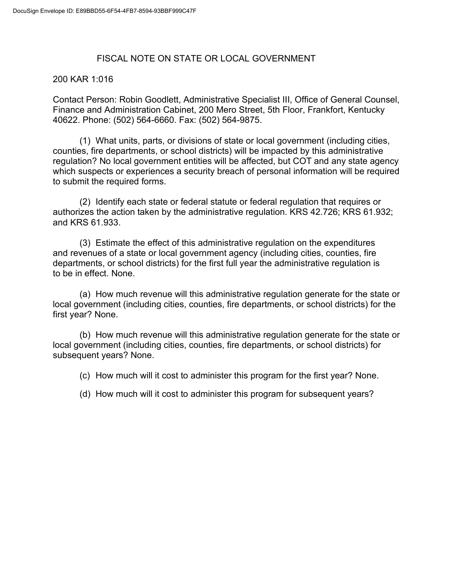### FISCAL NOTE ON STATE OR LOCAL GOVERNMENT

### 200 KAR 1:016

Contact Person: Robin Goodlett, Administrative Specialist III, Office of General Counsel, Finance and Administration Cabinet, 200 Mero Street, 5th Floor, Frankfort, Kentucky 40622. Phone: (502) 564-6660. Fax: (502) 564-9875.

(1) What units, parts, or divisions of state or local government (including cities, counties, fire departments, or school districts) will be impacted by this administrative regulation? No local government entities will be affected, but COT and any state agency which suspects or experiences a security breach of personal information will be required to submit the required forms.

(2) Identify each state or federal statute or federal regulation that requires or authorizes the action taken by the administrative regulation. KRS 42.726; KRS 61.932; and KRS 61.933.

(3) Estimate the effect of this administrative regulation on the expenditures and revenues of a state or local government agency (including cities, counties, fire departments, or school districts) for the first full year the administrative regulation is to be in effect. None.

(a) How much revenue will this administrative regulation generate for the state or local government (including cities, counties, fire departments, or school districts) for the first year? None.

(b) How much revenue will this administrative regulation generate for the state or local government (including cities, counties, fire departments, or school districts) for subsequent years? None.

(c) How much will it cost to administer this program for the first year? None.

(d) How much will it cost to administer this program for subsequent years?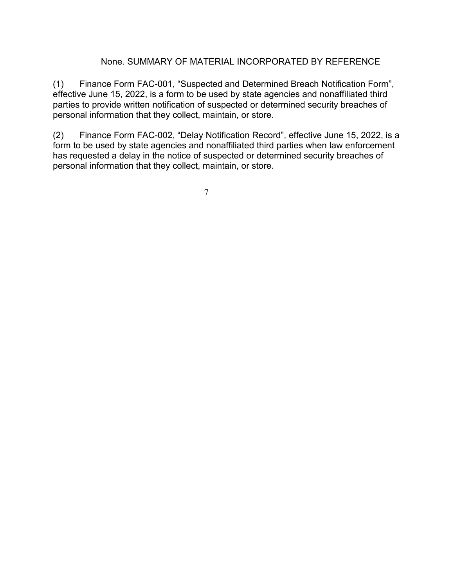### None. SUMMARY OF MATERIAL INCORPORATED BY REFERENCE

(1) Finance Form FAC-001, "Suspected and Determined Breach Notification Form", effective June 15, 2022, is a form to be used by state agencies and nonaffiliated third parties to provide written notification of suspected or determined security breaches of personal information that they collect, maintain, or store.

(2) Finance Form FAC-002, "Delay Notification Record", effective June 15, 2022, is a form to be used by state agencies and nonaffiliated third parties when law enforcement has requested a delay in the notice of suspected or determined security breaches of personal information that they collect, maintain, or store.

7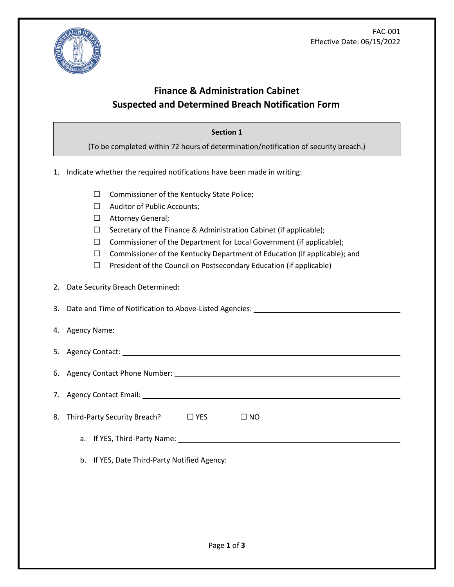

## **Finance & Administration Cabinet Suspected and Determined Breach Notification Form<sup>i</sup>**

#### **Section 1**

(To be completed within 72 hours of determination/notification of security breach.)

- 1. Indicate whether the required notifications have been made in writing:
	- ☐ Commissioner of the Kentucky State Police;
	- ☐ Auditor of Public Accounts;
	- ☐ Attorney General;
	- ☐ Secretary of the Finance & Administration Cabinet (if applicable);
	- ☐ Commissioner of the Department for Local Government (if applicable);
	- ☐ Commissioner of the Kentucky Department of Education (if applicable); and
	- $\Box$  President of the Council on Postsecondary Education (if applicable)

2. Date Security Breach Determined:

3. Date and Time of Notification to Above-Listed Agencies:

| 4. Agency Name: |  |
|-----------------|--|
|                 |  |

5. Agency Contact:

6. Agency Contact Phone Number:

7. Agency Contact Email:

|  | 8. Third-Party Security Breach? | $\Box$ YES | $\Box$ NO |
|--|---------------------------------|------------|-----------|
|--|---------------------------------|------------|-----------|

a. If YES, Third-Party Name:

b. If YES, Date Third-Party Notified Agency: \_\_\_\_\_\_\_\_\_\_\_\_\_\_\_\_\_\_\_\_\_\_\_\_\_\_\_\_\_\_\_\_\_\_\_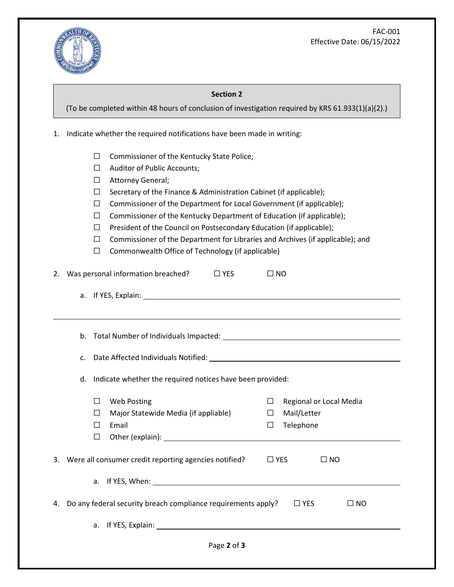FAC-001 Effective Date: 06/15/2022



#### **Section 2**

(To be completed within 48 hours of conclusion of investigation required by KRS 61.933(1)(a)(2).)

1. Indicate whether the required notifications have been made in writing:

- ☐ Commissioner of the Kentucky State Police;
- ☐ Auditor of Public Accounts;
- □ Attorney General;
- ☐ Secretary of the Finance & Administration Cabinet (if applicable);
- ☐ Commissioner of the Department for Local Government (if applicable);
- ☐ Commissioner of the Kentucky Department of Education (if applicable);
- ☐ President of the Council on Postsecondary Education (if applicable);
- ☐ Commissioner of the Department for Libraries and Archives (if applicable); and
- ☐ Commonwealth Office of Technology (if applicable)

|    |    | 2. Was personal information breached?<br>$\Box$ YES              |        | $\square$ NO                  |
|----|----|------------------------------------------------------------------|--------|-------------------------------|
|    |    |                                                                  |        |                               |
|    |    |                                                                  |        |                               |
|    |    |                                                                  |        |                               |
| c. |    |                                                                  |        |                               |
| d. |    | Indicate whether the required notices have been provided:        |        |                               |
|    | □  | <b>Web Posting</b>                                               | $\Box$ | Regional or Local Media       |
|    | П  | Major Statewide Media (if appliable)                             | $\Box$ | Mail/Letter                   |
|    | П  | Email                                                            | $\Box$ | Telephone                     |
|    | □  |                                                                  |        |                               |
|    |    | 3. Were all consumer credit reporting agencies notified?         |        | $\Box$ YES<br>$\Box$ NO       |
|    |    |                                                                  |        |                               |
|    |    | 4. Do any federal security breach compliance requirements apply? |        | $\square$ YES<br>$\square$ NO |
|    | a. | If YES, Explain:                                                 |        |                               |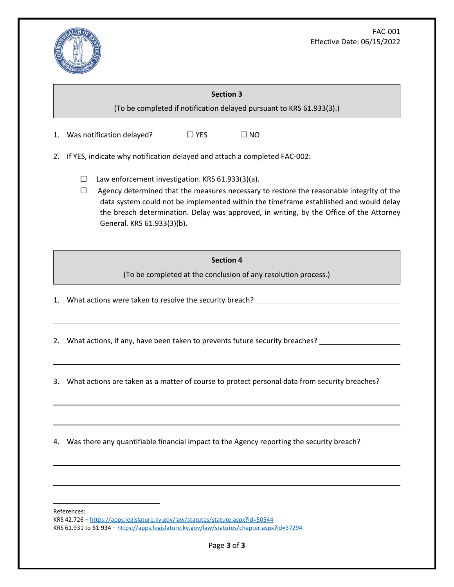

# **Section 3** (To be completed if notification delayed pursuant to KRS 61.933(3).) 1. Was notification delayed?  $□$  YES  $□$  NO 2. If YES, indicate why notification delayed and attach a completed FAC-002:  $\Box$  Law enforcement investigation. KRS 61.933(3)(a). □ Agency determined that the measures necessary to restore the reasonable integrity of the data system could not be implemented within the timeframe established and would delay the breach determination. Delay was approved, in writing, by the Office of the Attorney General. KRS 61.933(3)(b). **Section 4** (To be completed at the conclusion of any resolution process.) 1. What actions were taken to resolve the security breach?

2. What actions, if any, have been taken to prevents future security breaches?

3. What actions are taken as a matter of course to protect personal data from security breaches?

4. Was there any quantifiable financial impact to the Agency reporting the security breach?

References:

KRS 42.726 – <https://apps.legislature.ky.gov/law/statutes/statute.aspx?id=50544> KRS 61.931 to 61.934 – <https://apps.legislature.ky.gov/law/statutes/chapter.aspx?id=37294>